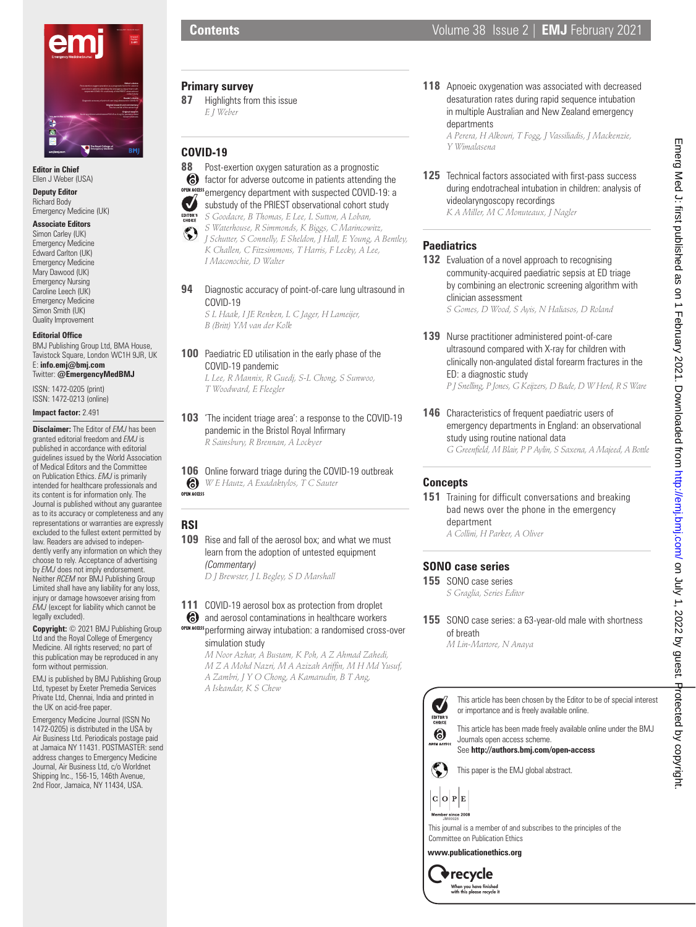

**Editor in Chief** Ellen J Weber (USA)

**Deputy Editor** Richard Body Emergency Medicine (UK)

#### **Associate Editors**

Simon Carley (UK) Emergency Medicine Edward Carlton (UK) Emergency Medicine Mary Dawood (UK) Emergency Nursing Caroline Leech (UK) Emergency Medicine Simon Smith (UK) Quality Improvement

#### **Editorial Office**

BMJ Publishing Group Ltd, BMA House, Tavistock Square, London WC1H 9JR, UK E: **info.emj@bmj.com** Twitter: **@EmergencyMedBMJ**

ISSN: 1472-0205 (print) ISSN: 1472-0213 (online)

**Impact factor:** 2.491

**Disclaimer:** The Editor of *EMJ* has been granted editorial freedom and *EMJ* is published in accordance with editorial guidelines issued by the World Association of Medical Editors and the Committee on Publication Ethics. *EMJ* is primarily intended for healthcare professionals and its content is for information only. The Journal is published without any guarantee as to its accuracy or completeness and any representations or warranties are expressly excluded to the fullest extent permitted by law. Readers are advised to independently verify any information on which they choose to rely. Acceptance of advertising by *EMJ* does not imply endorsement. Neither *RCEM* nor BMJ Publishing Group Limited shall have any liability for any loss, injury or damage howsoever arising from *EMJ* (except for liability which cannot be legally excluded).

**Copyright:** © 2021 BMJ Publishing Group Ltd and the Royal College of Emergency Medicine. All rights reserved; no part of this publication may be reproduced in any form without permission.

EMJ is published by BMJ Publishing Group Ltd, typeset by Exeter Premedia Services Private Ltd, Chennai, India and printed in the UK on acid-free paper.

Emergency Medicine Journal (ISSN No 1472-0205) is distributed in the USA by Air Business Ltd. Periodicals postage paid at Jamaica NY 11431. POSTMASTER: send address changes to Emergency Medicine Journal, Air Business Ltd, c/o Worldnet Shipping Inc., 156-15, 146th Avenue, 2nd Floor, Jamaica, NY 11434, USA.

- **Primary survey**
- **87** Highlights from this issue *E J Weber*

#### **COVID-19**

- **88** Post-exertion oxygen saturation as a prognostic factor for adverse outcome in patients attending the
- OPEN ACCESS emergency department with suspected COVID-19: a  $\boldsymbol{U}$ substudy of the PRIEST observational cohort study
- *S Goodacre, B Thomas, E Lee, L Sutton, A Loban,*  EDITOR'S<br>CHOICE
- *S Waterhouse, R Simmonds, K Biggs, C Marincowitz,*   $\odot$
- *J Schutter, S Connelly, E Sheldon, J Hall, E Young, A Bentley, K Challen, C Fitzsimmons, T Harris, F Lecky, A Lee, I Maconochie, D Walter*
- **94** Diagnostic accuracy of point-of-care lung ultrasound in COVID-19

*S L Haak, I JE Renken, L C Jager, H Lameijer, B (Britt) YM van der Kolk*

## **100** Paediatric ED utilisation in the early phase of the COVID-19 pandemic

*L Lee, R Mannix, R Guedj, S-L Chong, S Sunwoo, T Woodward, E Fleegler*

**103** 'The incident triage area': a response to the COVID-19 pandemic in the Bristol Royal Infirmary *R Sainsbury, R Brennan, A Lockyer*

**106** Online forward triage during the COVID-19 outbreak *W E Hautz, A Exadaktylos, T C Sauter* **OPEN ACCESS** 

# **RSI**

**109** Rise and fall of the aerosol box; and what we must learn from the adoption of untested equipment *(Commentary)*

*D J Brewster, J L Begley, S D Marshall*

**111** COVID-19 aerosol box as protection from droplet

and aerosol contaminations in healthcare workers OPEN ACCESS performing airway intubation: a randomised cross-over simulation study

*M Noor Azhar, A Bustam, K Poh, A Z Ahmad Zahedi, M Z A Mohd Nazri, M A Azizah Ariffin, M H Md Yusuf, A Zambri, J Y O Chong, A Kamarudin, B T Ang, A Iskandar, K S Chew*

**118** Apnoeic oxygenation was associated with decreased desaturation rates during rapid sequence intubation in multiple Australian and New Zealand emergency departments

*A Perera, H Alkouri, T Fogg, J Vassiliadis, J Mackenzie, Y Wimalasena*

**125** Technical factors associated with first-pass success during endotracheal intubation in children: analysis of videolaryngoscopy recordings *K A Miller, M C Monuteaux, J Nagler*

# **Paediatrics**

**132** Evaluation of a novel approach to recognising community-acquired paediatric sepsis at ED triage by combining an electronic screening algorithm with clinician assessment

*S Gomes, D Wood, S Ayis, N Haliasos, D Roland*

- 139 Nurse practitioner administered point-of-care ultrasound compared with X-ray for children with clinically non-angulated distal forearm fractures in the ED: a diagnostic study *P J Snelling, P Jones, G Keijzers, D Bade, D W Herd, R S Ware*
- **146** Characteristics of frequent paediatric users of emergency departments in England: an observational study using routine national data *G Greenfield, M Blair, P P Aylin, S Saxena, A Majeed, A Bottle*

## **Concepts**

**151** Training for difficult conversations and breaking bad news over the phone in the emergency department *A Collini, H Parker, A Oliver*

# **SONO case series**

- **155** SONO case series *S Graglia, Series Editor*
- **155** SONO case series: a 63-year-old male with shortness of breath

*M Lin-Martore, N Anaya*



This article has been made freely available online under the BMJ or importance and is freely available online.

Journals open access scheme.

See **http://authors.bmj.com/open-access**

This paper is the EMJ global abstract.

 $C$   $O$   $P$   $E$ 



**www.publicationethics.org**